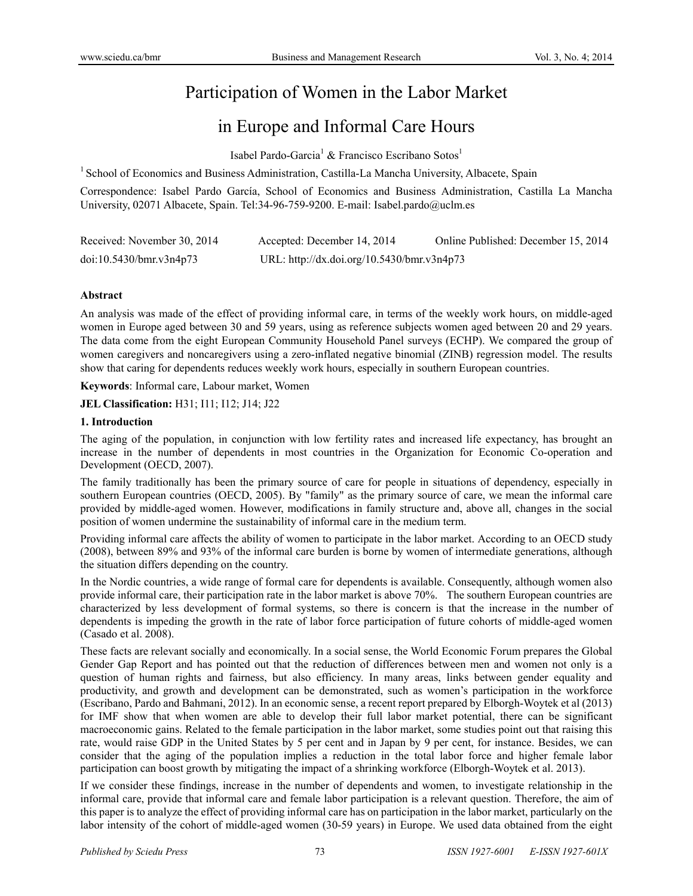# Participation of Women in the Labor Market

## in Europe and Informal Care Hours

Isabel Pardo-Garcia<sup>1</sup> & Francisco Escribano Sotos<sup>1</sup>

<sup>1</sup> School of Economics and Business Administration, Castilla-La Mancha University, Albacete, Spain

Correspondence: Isabel Pardo García, School of Economics and Business Administration, Castilla La Mancha University, 02071 Albacete, Spain. Tel:34-96-759-9200. E-mail: Isabel.pardo@uclm.es

| Received: November 30, 2014 | Accepted: December 14, 2014                | Online Published: December 15, 2014 |
|-----------------------------|--------------------------------------------|-------------------------------------|
| doi:10.5430/bmr.v3n4p73     | URL: http://dx.doi.org/10.5430/bmr.v3n4p73 |                                     |

## **Abstract**

An analysis was made of the effect of providing informal care, in terms of the weekly work hours, on middle-aged women in Europe aged between 30 and 59 years, using as reference subjects women aged between 20 and 29 years. The data come from the eight European Community Household Panel surveys (ECHP). We compared the group of women caregivers and noncaregivers using a zero-inflated negative binomial (ZINB) regression model. The results show that caring for dependents reduces weekly work hours, especially in southern European countries.

**Keywords**: Informal care, Labour market, Women

**JEL Classification:** H31; I11; I12; J14; J22

#### **1. Introduction**

The aging of the population, in conjunction with low fertility rates and increased life expectancy, has brought an increase in the number of dependents in most countries in the Organization for Economic Co-operation and Development (OECD, 2007).

The family traditionally has been the primary source of care for people in situations of dependency, especially in southern European countries (OECD, 2005). By "family" as the primary source of care, we mean the informal care provided by middle-aged women. However, modifications in family structure and, above all, changes in the social position of women undermine the sustainability of informal care in the medium term.

Providing informal care affects the ability of women to participate in the labor market. According to an OECD study (2008), between 89% and 93% of the informal care burden is borne by women of intermediate generations, although the situation differs depending on the country.

In the Nordic countries, a wide range of formal care for dependents is available. Consequently, although women also provide informal care, their participation rate in the labor market is above 70%. The southern European countries are characterized by less development of formal systems, so there is concern is that the increase in the number of dependents is impeding the growth in the rate of labor force participation of future cohorts of middle-aged women (Casado et al. 2008).

These facts are relevant socially and economically. In a social sense, the World Economic Forum prepares the Global Gender Gap Report and has pointed out that the reduction of differences between men and women not only is a question of human rights and fairness, but also efficiency. In many areas, links between gender equality and productivity, and growth and development can be demonstrated, such as women's participation in the workforce (Escribano, Pardo and Bahmani, 2012). In an economic sense, a recent report prepared by Elborgh-Woytek et al (2013) for IMF show that when women are able to develop their full labor market potential, there can be significant macroeconomic gains. Related to the female participation in the labor market, some studies point out that raising this rate, would raise GDP in the United States by 5 per cent and in Japan by 9 per cent, for instance. Besides, we can consider that the aging of the population implies a reduction in the total labor force and higher female labor participation can boost growth by mitigating the impact of a shrinking workforce (Elborgh-Woytek et al. 2013).

If we consider these findings, increase in the number of dependents and women, to investigate relationship in the informal care, provide that informal care and female labor participation is a relevant question. Therefore, the aim of this paper is to analyze the effect of providing informal care has on participation in the labor market, particularly on the labor intensity of the cohort of middle-aged women (30-59 years) in Europe. We used data obtained from the eight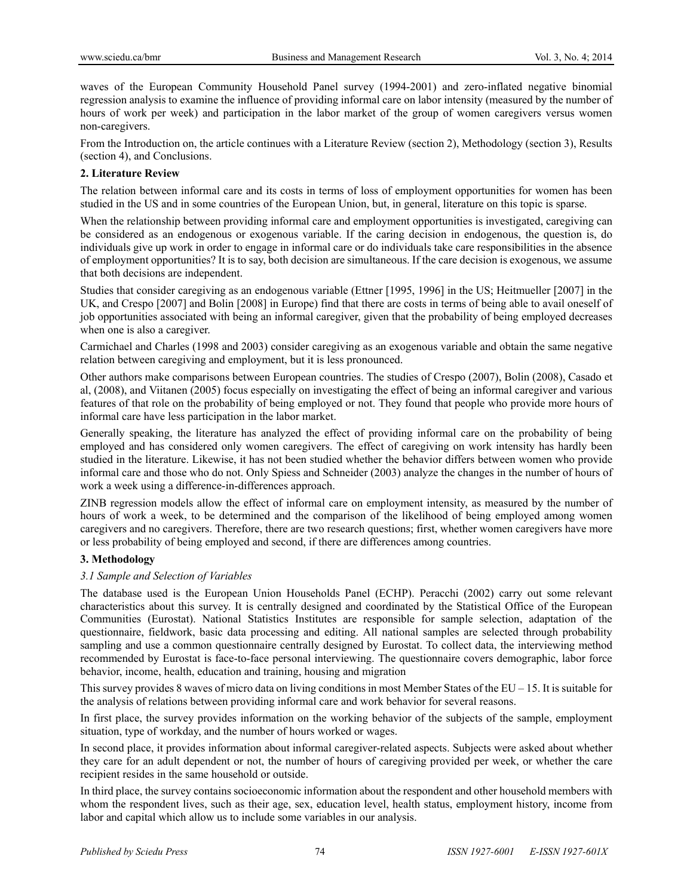waves of the European Community Household Panel survey (1994-2001) and zero-inflated negative binomial regression analysis to examine the influence of providing informal care on labor intensity (measured by the number of hours of work per week) and participation in the labor market of the group of women caregivers versus women non-caregivers.

From the Introduction on, the article continues with a Literature Review (section 2), Methodology (section 3), Results (section 4), and Conclusions.

## **2. Literature Review**

The relation between informal care and its costs in terms of loss of employment opportunities for women has been studied in the US and in some countries of the European Union, but, in general, literature on this topic is sparse.

When the relationship between providing informal care and employment opportunities is investigated, caregiving can be considered as an endogenous or exogenous variable. If the caring decision in endogenous, the question is, do individuals give up work in order to engage in informal care or do individuals take care responsibilities in the absence of employment opportunities? It is to say, both decision are simultaneous. If the care decision is exogenous, we assume that both decisions are independent.

Studies that consider caregiving as an endogenous variable (Ettner [1995, 1996] in the US; Heitmueller [2007] in the UK, and Crespo [2007] and Bolin [2008] in Europe) find that there are costs in terms of being able to avail oneself of job opportunities associated with being an informal caregiver, given that the probability of being employed decreases when one is also a caregiver.

Carmichael and Charles (1998 and 2003) consider caregiving as an exogenous variable and obtain the same negative relation between caregiving and employment, but it is less pronounced.

Other authors make comparisons between European countries. The studies of Crespo (2007), Bolin (2008), Casado et al, (2008), and Viitanen (2005) focus especially on investigating the effect of being an informal caregiver and various features of that role on the probability of being employed or not. They found that people who provide more hours of informal care have less participation in the labor market.

Generally speaking, the literature has analyzed the effect of providing informal care on the probability of being employed and has considered only women caregivers. The effect of caregiving on work intensity has hardly been studied in the literature. Likewise, it has not been studied whether the behavior differs between women who provide informal care and those who do not. Only Spiess and Schneider (2003) analyze the changes in the number of hours of work a week using a difference-in-differences approach.

ZINB regression models allow the effect of informal care on employment intensity, as measured by the number of hours of work a week, to be determined and the comparison of the likelihood of being employed among women caregivers and no caregivers. Therefore, there are two research questions; first, whether women caregivers have more or less probability of being employed and second, if there are differences among countries.

## **3. Methodology**

## *3.1 Sample and Selection of Variables*

The database used is the European Union Households Panel (ECHP). Peracchi (2002) carry out some relevant characteristics about this survey. It is centrally designed and coordinated by the Statistical Office of the European Communities (Eurostat). National Statistics Institutes are responsible for sample selection, adaptation of the questionnaire, fieldwork, basic data processing and editing. All national samples are selected through probability sampling and use a common questionnaire centrally designed by Eurostat. To collect data, the interviewing method recommended by Eurostat is face-to-face personal interviewing. The questionnaire covers demographic, labor force behavior, income, health, education and training, housing and migration

This survey provides 8 waves of micro data on living conditions in most Member States of the EU – 15. It is suitable for the analysis of relations between providing informal care and work behavior for several reasons.

In first place, the survey provides information on the working behavior of the subjects of the sample, employment situation, type of workday, and the number of hours worked or wages.

In second place, it provides information about informal caregiver-related aspects. Subjects were asked about whether they care for an adult dependent or not, the number of hours of caregiving provided per week, or whether the care recipient resides in the same household or outside.

In third place, the survey contains socioeconomic information about the respondent and other household members with whom the respondent lives, such as their age, sex, education level, health status, employment history, income from labor and capital which allow us to include some variables in our analysis.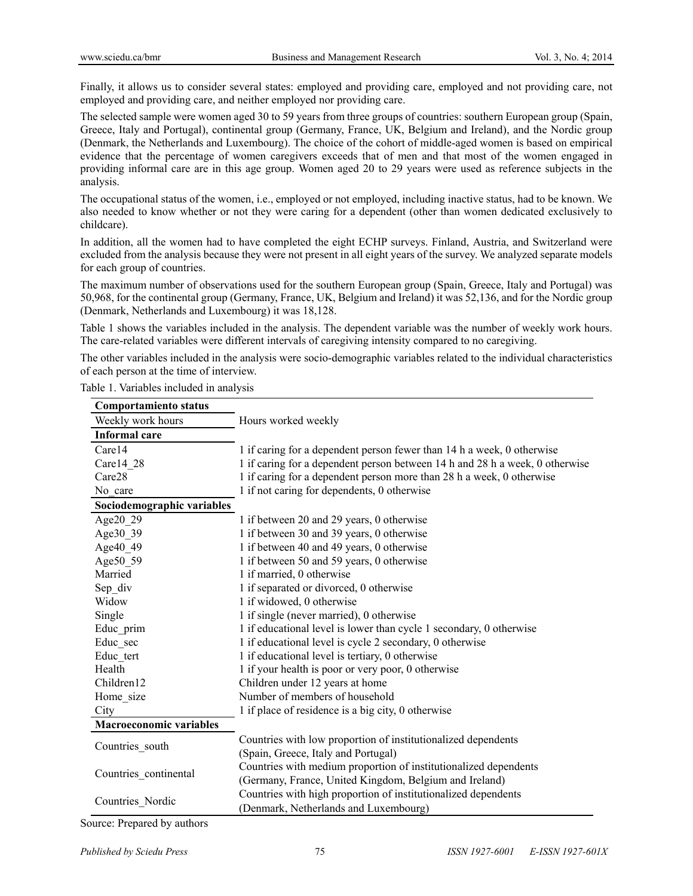Finally, it allows us to consider several states: employed and providing care, employed and not providing care, not employed and providing care, and neither employed nor providing care.

The selected sample were women aged 30 to 59 years from three groups of countries: southern European group (Spain, Greece, Italy and Portugal), continental group (Germany, France, UK, Belgium and Ireland), and the Nordic group (Denmark, the Netherlands and Luxembourg). The choice of the cohort of middle-aged women is based on empirical evidence that the percentage of women caregivers exceeds that of men and that most of the women engaged in providing informal care are in this age group. Women aged 20 to 29 years were used as reference subjects in the analysis.

The occupational status of the women, i.e., employed or not employed, including inactive status, had to be known. We also needed to know whether or not they were caring for a dependent (other than women dedicated exclusively to childcare).

In addition, all the women had to have completed the eight ECHP surveys. Finland, Austria, and Switzerland were excluded from the analysis because they were not present in all eight years of the survey. We analyzed separate models for each group of countries.

The maximum number of observations used for the southern European group (Spain, Greece, Italy and Portugal) was 50,968, for the continental group (Germany, France, UK, Belgium and Ireland) it was 52,136, and for the Nordic group (Denmark, Netherlands and Luxembourg) it was 18,128.

Table 1 shows the variables included in the analysis. The dependent variable was the number of weekly work hours. The care-related variables were different intervals of caregiving intensity compared to no caregiving.

The other variables included in the analysis were socio-demographic variables related to the individual characteristics of each person at the time of interview.

| <b>Comportamiento status</b>   |                                                                              |
|--------------------------------|------------------------------------------------------------------------------|
| Weekly work hours              | Hours worked weekly                                                          |
| <b>Informal</b> care           |                                                                              |
| Care14                         | 1 if caring for a dependent person fewer than 14 h a week, 0 otherwise       |
| Carel 428                      | 1 if caring for a dependent person between 14 h and 28 h a week, 0 otherwise |
| Care28                         | 1 if caring for a dependent person more than 28 h a week, 0 otherwise        |
| No care                        | 1 if not caring for dependents, 0 otherwise                                  |
| Sociodemographic variables     |                                                                              |
| Age20 29                       | 1 if between 20 and 29 years, 0 otherwise                                    |
| Age30_39                       | 1 if between 30 and 39 years, 0 otherwise                                    |
| Age40 49                       | 1 if between 40 and 49 years, 0 otherwise                                    |
| Age50_59                       | 1 if between 50 and 59 years, 0 otherwise                                    |
| Married                        | 1 if married, 0 otherwise                                                    |
| Sep_div                        | 1 if separated or divorced, 0 otherwise                                      |
| Widow                          | 1 if widowed, 0 otherwise                                                    |
| Single                         | 1 if single (never married), 0 otherwise                                     |
| Educ prim                      | 1 if educational level is lower than cycle 1 secondary, 0 otherwise          |
| Educ sec                       | 1 if educational level is cycle 2 secondary, 0 otherwise                     |
| Educ tert                      | 1 if educational level is tertiary, 0 otherwise                              |
| Health                         | 1 if your health is poor or very poor, 0 otherwise                           |
| Children12                     | Children under 12 years at home                                              |
| Home_size                      | Number of members of household                                               |
| City                           | 1 if place of residence is a big city, 0 otherwise                           |
| <b>Macroeconomic variables</b> |                                                                              |
|                                | Countries with low proportion of institutionalized dependents                |
| Countries south                | (Spain, Greece, Italy and Portugal)                                          |
| Countries continental          | Countries with medium proportion of institutionalized dependents             |
|                                | (Germany, France, United Kingdom, Belgium and Ireland)                       |
| Countries Nordic               | Countries with high proportion of institutionalized dependents               |
|                                | (Denmark, Netherlands and Luxembourg)                                        |

Source: Prepared by authors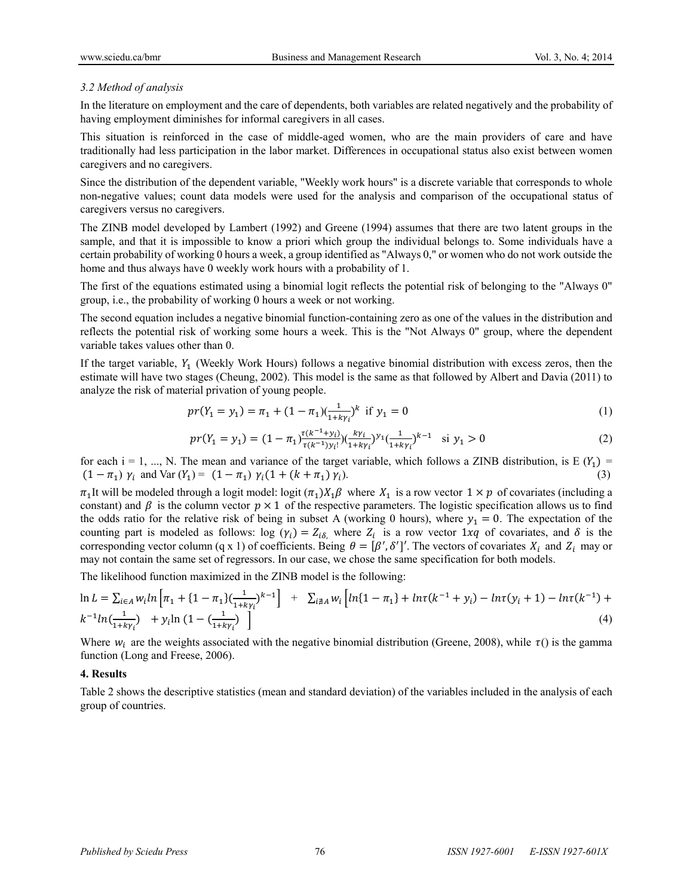#### *3.2 Method of analysis*

In the literature on employment and the care of dependents, both variables are related negatively and the probability of having employment diminishes for informal caregivers in all cases.

This situation is reinforced in the case of middle-aged women, who are the main providers of care and have traditionally had less participation in the labor market. Differences in occupational status also exist between women caregivers and no caregivers.

Since the distribution of the dependent variable, "Weekly work hours" is a discrete variable that corresponds to whole non-negative values; count data models were used for the analysis and comparison of the occupational status of caregivers versus no caregivers.

The ZINB model developed by Lambert (1992) and Greene (1994) assumes that there are two latent groups in the sample, and that it is impossible to know a priori which group the individual belongs to. Some individuals have a certain probability of working 0 hours a week, a group identified as "Always 0," or women who do not work outside the home and thus always have 0 weekly work hours with a probability of 1.

The first of the equations estimated using a binomial logit reflects the potential risk of belonging to the "Always 0" group, i.e., the probability of working 0 hours a week or not working.

The second equation includes a negative binomial function-containing zero as one of the values in the distribution and reflects the potential risk of working some hours a week. This is the "Not Always 0" group, where the dependent variable takes values other than 0.

If the target variable,  $Y_1$  (Weekly Work Hours) follows a negative binomial distribution with excess zeros, then the estimate will have two stages (Cheung, 2002). This model is the same as that followed by Albert and Davia (2011) to analyze the risk of material privation of young people.

$$
pr(Y_1 = y_1) = \pi_1 + (1 - \pi_1) \left(\frac{1}{1 + k y_1}\right)^k \text{ if } y_1 = 0
$$
\n(1)

$$
pr(Y_1 = y_1) = (1 - \pi_1) \frac{\tau(k^{-1} + y_i)}{\tau(k^{-1}) y_i!} (k y_i)^{y_1} (\frac{1}{1 + k \gamma_i})^{k-1} \text{ si } y_1 > 0
$$
 (2)

for each i = 1, ..., N. The mean and variance of the target variable, which follows a ZINB distribution, is E  $(Y_1)$  =  $(1 - \pi_1) \gamma_i$  and Var  $(Y_1) = (1 - \pi_1) \gamma_i (1 + (k + \pi_1) \gamma_i)$ . (3)

 $\pi_1$ It will be modeled through a logit model: logit  $(\pi_1)X_1\beta$  where  $X_1$  is a row vector  $1 \times p$  of covariates (including a constant) and  $\beta$  is the column vector  $p \times 1$  of the respective parameters. The logistic specification allows us to find the odds ratio for the relative risk of being in subset A (working 0 hours), where  $y_1 = 0$ . The expectation of the counting part is modeled as follows: log  $(\gamma_i) = Z_{i\delta}$ , where  $Z_i$  is a row vector 1xq of covariates, and  $\delta$  is the corresponding vector column (q x 1) of coefficients. Being  $\theta = [\beta', \delta']'$ . The vectors of covariates  $X_i$  and  $Z_i$  may or may not contain the same set of regressors. In our case, we chose the same specification for both models.

The likelihood function maximized in the ZINB model is the following:

$$
\ln L = \sum_{i \in A} w_i \ln \left[ \pi_1 + \{1 - \pi_1\} \frac{1}{(1 + k\gamma_i)} k^{-1} \right] + \sum_{i \notin A} w_i \left[ \ln \{1 - \pi_1\} + \ln \tau (k^{-1} + \gamma_i) - \ln \tau (\gamma_i + 1) - \ln \tau (k^{-1}) + k^{-1} \ln \left( \frac{1}{1 + k\gamma_i} \right) \right] \tag{4}
$$

Where  $w_i$  are the weights associated with the negative binomial distribution (Greene, 2008), while  $\tau$ () is the gamma function (Long and Freese, 2006).

#### **4. Results**

Table 2 shows the descriptive statistics (mean and standard deviation) of the variables included in the analysis of each group of countries.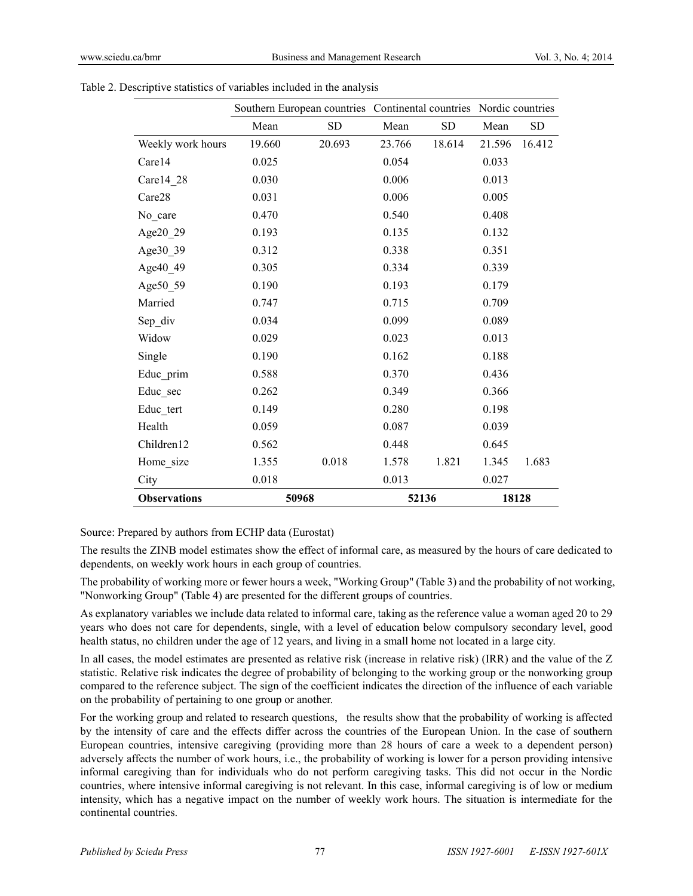|                     | Southern European countries Continental countries Nordic countries |           |        |           |        |           |
|---------------------|--------------------------------------------------------------------|-----------|--------|-----------|--------|-----------|
|                     | Mean                                                               | <b>SD</b> | Mean   | <b>SD</b> | Mean   | <b>SD</b> |
| Weekly work hours   | 19.660                                                             | 20.693    | 23.766 | 18.614    | 21.596 | 16.412    |
| Care14              | 0.025                                                              |           | 0.054  |           | 0.033  |           |
| Care14_28           | 0.030                                                              |           | 0.006  |           | 0.013  |           |
| Care28              | 0.031                                                              |           | 0.006  |           | 0.005  |           |
| No_care             | 0.470                                                              |           | 0.540  |           | 0.408  |           |
| Age20_29            | 0.193                                                              |           | 0.135  |           | 0.132  |           |
| Age30_39            | 0.312                                                              |           | 0.338  |           | 0.351  |           |
| Age40_49            | 0.305                                                              |           | 0.334  |           | 0.339  |           |
| Age50 59            | 0.190                                                              |           | 0.193  |           | 0.179  |           |
| Married             | 0.747                                                              |           | 0.715  |           | 0.709  |           |
| Sep_div             | 0.034                                                              |           | 0.099  |           | 0.089  |           |
| Widow               | 0.029                                                              |           | 0.023  |           | 0.013  |           |
| Single              | 0.190                                                              |           | 0.162  |           | 0.188  |           |
| Educ_prim           | 0.588                                                              |           | 0.370  |           | 0.436  |           |
| Educ sec            | 0.262                                                              |           | 0.349  |           | 0.366  |           |
| Educ_tert           | 0.149                                                              |           | 0.280  |           | 0.198  |           |
| Health              | 0.059                                                              |           | 0.087  |           | 0.039  |           |
| Children12          | 0.562                                                              |           | 0.448  |           | 0.645  |           |
| Home_size           | 1.355                                                              | 0.018     | 1.578  | 1.821     | 1.345  | 1.683     |
| City                | 0.018                                                              |           | 0.013  |           | 0.027  |           |
| <b>Observations</b> | 50968                                                              |           | 52136  |           | 18128  |           |

Table 2. Descriptive statistics of variables included in the analysis

Source: Prepared by authors from ECHP data (Eurostat)

The results the ZINB model estimates show the effect of informal care, as measured by the hours of care dedicated to dependents, on weekly work hours in each group of countries.

The probability of working more or fewer hours a week, "Working Group" (Table 3) and the probability of not working, "Nonworking Group" (Table 4) are presented for the different groups of countries.

As explanatory variables we include data related to informal care, taking as the reference value a woman aged 20 to 29 years who does not care for dependents, single, with a level of education below compulsory secondary level, good health status, no children under the age of 12 years, and living in a small home not located in a large city.

In all cases, the model estimates are presented as relative risk (increase in relative risk) (IRR) and the value of the Z statistic. Relative risk indicates the degree of probability of belonging to the working group or the nonworking group compared to the reference subject. The sign of the coefficient indicates the direction of the influence of each variable on the probability of pertaining to one group or another.

For the working group and related to research questions, the results show that the probability of working is affected by the intensity of care and the effects differ across the countries of the European Union. In the case of southern European countries, intensive caregiving (providing more than 28 hours of care a week to a dependent person) adversely affects the number of work hours, i.e., the probability of working is lower for a person providing intensive informal caregiving than for individuals who do not perform caregiving tasks. This did not occur in the Nordic countries, where intensive informal caregiving is not relevant. In this case, informal caregiving is of low or medium intensity, which has a negative impact on the number of weekly work hours. The situation is intermediate for the continental countries.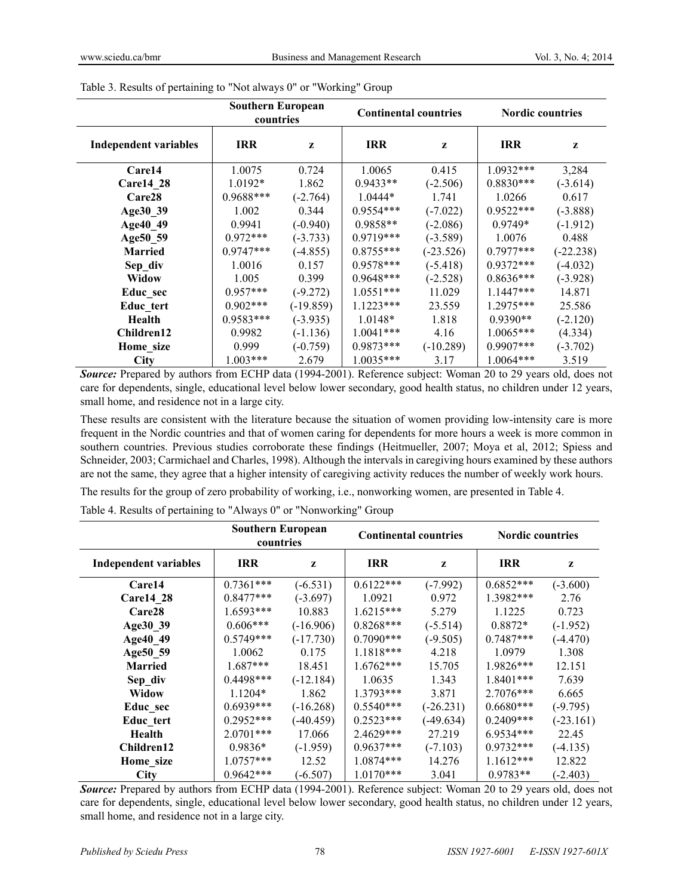|                              | <b>Southern European</b><br><b>Continental countries</b><br>countries |              |             | <b>Nordic countries</b> |             |             |
|------------------------------|-----------------------------------------------------------------------|--------------|-------------|-------------------------|-------------|-------------|
| <b>Independent variables</b> | <b>IRR</b>                                                            | $\mathbf{z}$ | <b>IRR</b>  | Z                       | <b>IRR</b>  | Z           |
| Care14                       | 1.0075                                                                | 0.724        | 1.0065      | 0.415                   | $1.0932***$ | 3,284       |
| <b>Carel4 28</b>             | $1.0192*$                                                             | 1.862        | $0.9433**$  | $(-2.506)$              | $0.8830***$ | $(-3.614)$  |
| Care28                       | 0.9688***                                                             | $(-2.764)$   | $1.0444*$   | 1.741                   | 1.0266      | 0.617       |
| Age30 39                     | 1.002                                                                 | 0.344        | $0.9554***$ | $(-7.022)$              | $0.9522***$ | $(-3.888)$  |
| Age40 49                     | 0.9941                                                                | $(-0.940)$   | $0.9858**$  | $(-2.086)$              | $0.9749*$   | $(-1.912)$  |
| Age50 59                     | $0.972***$                                                            | $(-3.733)$   | $0.9719***$ | $(-3.589)$              | 1.0076      | 0.488       |
| <b>Married</b>               | $0.9747***$                                                           | $(-4.855)$   | $0.8755***$ | $(-23.526)$             | $0.7977***$ | $(-22.238)$ |
| Sep div                      | 1.0016                                                                | 0.157        | $0.9578***$ | $(-5.418)$              | $0.9372***$ | $(-4.032)$  |
| Widow                        | 1.005                                                                 | 0.399        | $0.9648***$ | $(-2.528)$              | $0.8636***$ | $(-3.928)$  |
| Educ sec                     | $0.957***$                                                            | $(-9.272)$   | $1.0551***$ | 11.029                  | $1.1447***$ | 14.871      |
| Educ tert                    | $0.902***$                                                            | $(-19.859)$  | $1.1223***$ | 23.559                  | $1.2975***$ | 25.586      |
| Health                       | $0.9583***$                                                           | $(-3.935)$   | $1.0148*$   | 1.818                   | $0.9390**$  | $(-2.120)$  |
| Children12                   | 0.9982                                                                | $(-1.136)$   | $1.0041***$ | 4.16                    | $1.0065***$ | (4.334)     |
| Home size                    | 0.999                                                                 | $(-0.759)$   | $0.9873***$ | $(-10.289)$             | $0.9907***$ | $(-3.702)$  |
| <b>City</b>                  | $1.003***$                                                            | 2.679        | $1.0035***$ | 3.17                    | $1.0064***$ | 3.519       |

| Table 3. Results of pertaining to "Not always 0" or "Working" Group |  |  |
|---------------------------------------------------------------------|--|--|
|                                                                     |  |  |

*Source:* Prepared by authors from ECHP data (1994-2001). Reference subject: Woman 20 to 29 years old, does not care for dependents, single, educational level below lower secondary, good health status, no children under 12 years, small home, and residence not in a large city.

These results are consistent with the literature because the situation of women providing low-intensity care is more frequent in the Nordic countries and that of women caring for dependents for more hours a week is more common in southern countries. Previous studies corroborate these findings (Heitmueller, 2007; Moya et al, 2012; Spiess and Schneider, 2003; Carmichael and Charles, 1998). Although the intervals in caregiving hours examined by these authors are not the same, they agree that a higher intensity of caregiving activity reduces the number of weekly work hours.

The results for the group of zero probability of working, i.e., nonworking women, are presented in Table 4.

Table 4. Results of pertaining to "Always 0" or "Nonworking" Group

|                              | <b>Southern European</b><br>countries |             | <b>Continental countries</b> |             | <b>Nordic countries</b> |             |
|------------------------------|---------------------------------------|-------------|------------------------------|-------------|-------------------------|-------------|
| <b>Independent variables</b> | <b>IRR</b>                            | z           | <b>IRR</b>                   | z           | <b>IRR</b>              | z           |
| Care14                       | $0.7361***$                           | $(-6.531)$  | $0.6122***$                  | $(-7.992)$  | $0.6852***$             | $(-3.600)$  |
| <b>Care14 28</b>             | $0.8477***$                           | $(-3.697)$  | 1.0921                       | 0.972       | 1.3982***               | 2.76        |
| Care <sub>28</sub>           | 1.6593***                             | 10.883      | $1.6215***$                  | 5.279       | 1.1225                  | 0.723       |
| Age30 39                     | $0.606***$                            | $(-16.906)$ | $0.8268***$                  | $(-5.514)$  | $0.8872*$               | $(-1.952)$  |
| Age40 49                     | $0.5749***$                           | $(-17.730)$ | $0.7090***$                  | $(-9.505)$  | $0.7487***$             | $(-4.470)$  |
| Age50 59                     | 1.0062                                | 0.175       | 1.1818***                    | 4.218       | 1.0979                  | 1.308       |
| <b>Married</b>               | $1.687***$                            | 18.451      | $1.6762***$                  | 15.705      | 1.9826***               | 12.151      |
| Sep div                      | 0.4498***                             | $(-12.184)$ | 1.0635                       | 1.343       | 1.8401***               | 7.639       |
| Widow                        | $1.1204*$                             | 1.862       | $1.3793***$                  | 3.871       | $2.7076***$             | 6.665       |
| Educ_sec                     | $0.6939***$                           | $(-16.268)$ | $0.5540***$                  | $(-26.231)$ | $0.6680***$             | $(-9.795)$  |
| Educ tert                    | $0.2952***$                           | $(-40.459)$ | $0.2523***$                  | $(-49.634)$ | $0.2409***$             | $(-23.161)$ |
| Health                       | $2.0701***$                           | 17.066      | 2.4629***                    | 27.219      | 6.9534***               | 22.45       |
| Children12                   | 0.9836*                               | $(-1.959)$  | $0.9637***$                  | $(-7.103)$  | $0.9732***$             | $(-4.135)$  |
| Home_size                    | $1.0757***$                           | 12.52       | $1.0874***$                  | 14.276      | $1.1612***$             | 12.822      |
| <b>City</b>                  | $0.9642***$                           | $(-6.507)$  | $1.0170***$                  | 3.041       | $0.9783**$              | $(-2.403)$  |

*Source:* Prepared by authors from ECHP data (1994-2001). Reference subject: Woman 20 to 29 years old, does not care for dependents, single, educational level below lower secondary, good health status, no children under 12 years, small home, and residence not in a large city.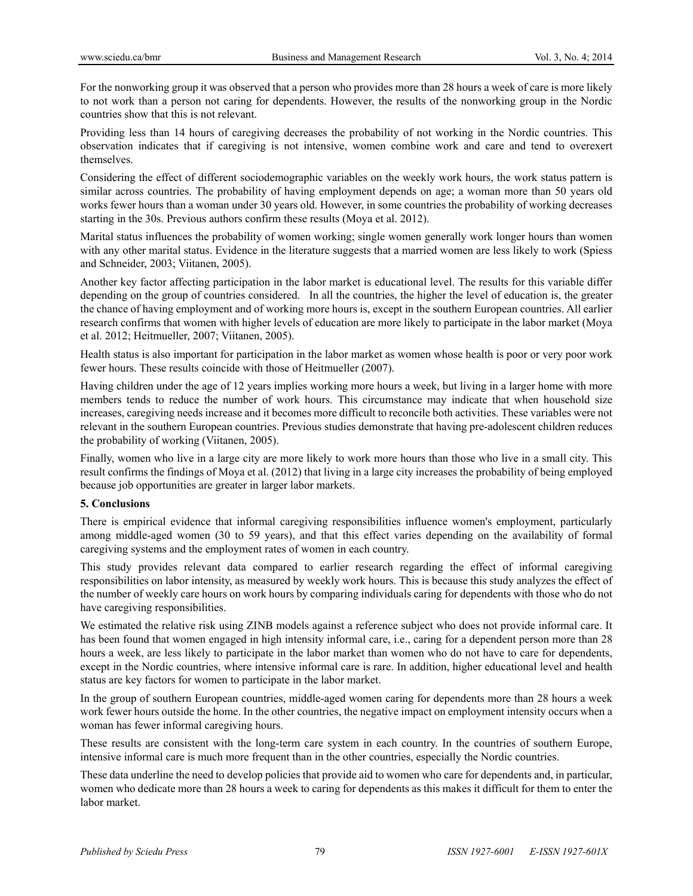For the nonworking group it was observed that a person who provides more than 28 hours a week of care is more likely to not work than a person not caring for dependents. However, the results of the nonworking group in the Nordic countries show that this is not relevant.

Providing less than 14 hours of caregiving decreases the probability of not working in the Nordic countries. This observation indicates that if caregiving is not intensive, women combine work and care and tend to overexert themselves.

Considering the effect of different sociodemographic variables on the weekly work hours, the work status pattern is similar across countries. The probability of having employment depends on age; a woman more than 50 years old works fewer hours than a woman under 30 years old. However, in some countries the probability of working decreases starting in the 30s. Previous authors confirm these results (Moya et al. 2012).

Marital status influences the probability of women working; single women generally work longer hours than women with any other marital status. Evidence in the literature suggests that a married women are less likely to work (Spiess and Schneider, 2003; Viitanen, 2005).

Another key factor affecting participation in the labor market is educational level. The results for this variable differ depending on the group of countries considered. In all the countries, the higher the level of education is, the greater the chance of having employment and of working more hours is, except in the southern European countries. All earlier research confirms that women with higher levels of education are more likely to participate in the labor market (Moya et al. 2012; Heitmueller, 2007; Viitanen, 2005).

Health status is also important for participation in the labor market as women whose health is poor or very poor work fewer hours. These results coincide with those of Heitmueller (2007).

Having children under the age of 12 years implies working more hours a week, but living in a larger home with more members tends to reduce the number of work hours. This circumstance may indicate that when household size increases, caregiving needs increase and it becomes more difficult to reconcile both activities. These variables were not relevant in the southern European countries. Previous studies demonstrate that having pre-adolescent children reduces the probability of working (Viitanen, 2005).

Finally, women who live in a large city are more likely to work more hours than those who live in a small city. This result confirms the findings of Moya et al. (2012) that living in a large city increases the probability of being employed because job opportunities are greater in larger labor markets.

## **5. Conclusions**

There is empirical evidence that informal caregiving responsibilities influence women's employment, particularly among middle-aged women (30 to 59 years), and that this effect varies depending on the availability of formal caregiving systems and the employment rates of women in each country.

This study provides relevant data compared to earlier research regarding the effect of informal caregiving responsibilities on labor intensity, as measured by weekly work hours. This is because this study analyzes the effect of the number of weekly care hours on work hours by comparing individuals caring for dependents with those who do not have caregiving responsibilities.

We estimated the relative risk using ZINB models against a reference subject who does not provide informal care. It has been found that women engaged in high intensity informal care, i.e., caring for a dependent person more than 28 hours a week, are less likely to participate in the labor market than women who do not have to care for dependents, except in the Nordic countries, where intensive informal care is rare. In addition, higher educational level and health status are key factors for women to participate in the labor market.

In the group of southern European countries, middle-aged women caring for dependents more than 28 hours a week work fewer hours outside the home. In the other countries, the negative impact on employment intensity occurs when a woman has fewer informal caregiving hours.

These results are consistent with the long-term care system in each country. In the countries of southern Europe, intensive informal care is much more frequent than in the other countries, especially the Nordic countries.

These data underline the need to develop policies that provide aid to women who care for dependents and, in particular, women who dedicate more than 28 hours a week to caring for dependents as this makes it difficult for them to enter the labor market.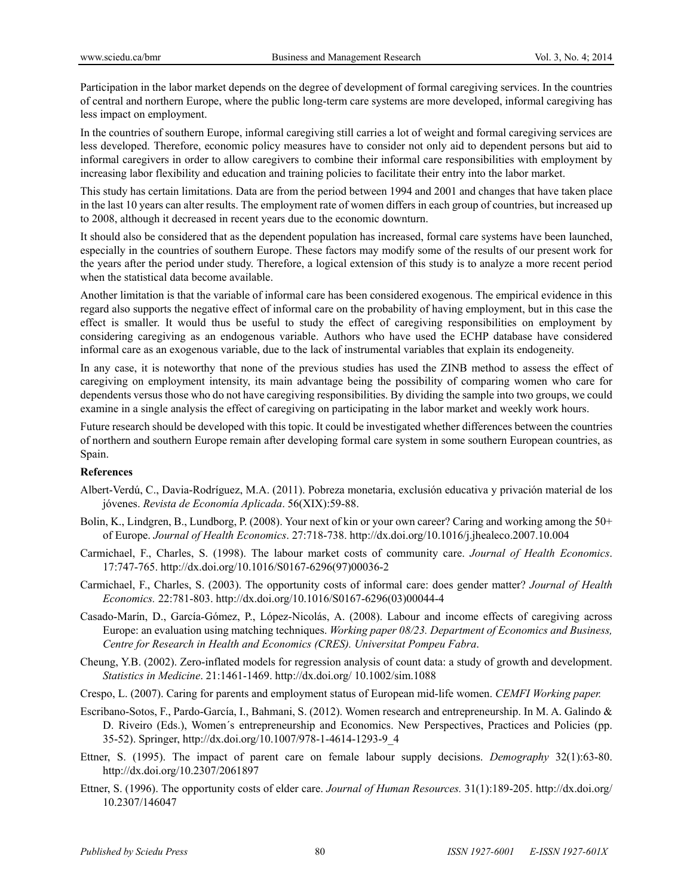Participation in the labor market depends on the degree of development of formal caregiving services. In the countries of central and northern Europe, where the public long-term care systems are more developed, informal caregiving has less impact on employment.

In the countries of southern Europe, informal caregiving still carries a lot of weight and formal caregiving services are less developed. Therefore, economic policy measures have to consider not only aid to dependent persons but aid to informal caregivers in order to allow caregivers to combine their informal care responsibilities with employment by increasing labor flexibility and education and training policies to facilitate their entry into the labor market.

This study has certain limitations. Data are from the period between 1994 and 2001 and changes that have taken place in the last 10 years can alter results. The employment rate of women differs in each group of countries, but increased up to 2008, although it decreased in recent years due to the economic downturn.

It should also be considered that as the dependent population has increased, formal care systems have been launched, especially in the countries of southern Europe. These factors may modify some of the results of our present work for the years after the period under study. Therefore, a logical extension of this study is to analyze a more recent period when the statistical data become available.

Another limitation is that the variable of informal care has been considered exogenous. The empirical evidence in this regard also supports the negative effect of informal care on the probability of having employment, but in this case the effect is smaller. It would thus be useful to study the effect of caregiving responsibilities on employment by considering caregiving as an endogenous variable. Authors who have used the ECHP database have considered informal care as an exogenous variable, due to the lack of instrumental variables that explain its endogeneity.

In any case, it is noteworthy that none of the previous studies has used the ZINB method to assess the effect of caregiving on employment intensity, its main advantage being the possibility of comparing women who care for dependents versus those who do not have caregiving responsibilities. By dividing the sample into two groups, we could examine in a single analysis the effect of caregiving on participating in the labor market and weekly work hours.

Future research should be developed with this topic. It could be investigated whether differences between the countries of northern and southern Europe remain after developing formal care system in some southern European countries, as Spain.

#### **References**

- Albert-Verdú, C., Davia-Rodríguez, M.A. (2011). Pobreza monetaria, exclusión educativa y privación material de los jóvenes. *Revista de Economía Aplicada*. 56(XIX):59-88.
- Bolin, K., Lindgren, B., Lundborg, P. (2008). Your next of kin or your own career? Caring and working among the 50+ of Europe. *Journal of Health Economics*. 27:718-738. http://dx.doi.org/10.1016/j.jhealeco.2007.10.004
- Carmichael, F., Charles, S. (1998). The labour market costs of community care. *Journal of Health Economics*. 17:747-765. http://dx.doi.org/10.1016/S0167-6296(97)00036-2
- Carmichael, F., Charles, S. (2003). The opportunity costs of informal care: does gender matter? *Journal of Health Economics.* 22:781-803. http://dx.doi.org/10.1016/S0167-6296(03)00044-4
- Casado-Marín, D., García-Gómez, P., López-Nicolás, A. (2008). Labour and income effects of caregiving across Europe: an evaluation using matching techniques. *Working paper 08/23. Department of Economics and Business, Centre for Research in Health and Economics (CRES). Universitat Pompeu Fabra*.
- Cheung, Y.B. (2002). Zero-inflated models for regression analysis of count data: a study of growth and development. *Statistics in Medicine*. 21:1461-1469. http://dx.doi.org/ 10.1002/sim.1088
- Crespo, L. (2007). Caring for parents and employment status of European mid-life women. *CEMFI Working paper.*
- Escribano-Sotos, F., Pardo-García, I., Bahmani, S. (2012). Women research and entrepreneurship. In M. A. Galindo & D. Riveiro (Eds.), Women´s entrepreneurship and Economics. New Perspectives, Practices and Policies (pp. 35-52). Springer, http://dx.doi.org/10.1007/978-1-4614-1293-9\_4
- Ettner, S. (1995). The impact of parent care on female labour supply decisions. *Demography* 32(1):63-80. http://dx.doi.org/10.2307/2061897
- Ettner, S. (1996). The opportunity costs of elder care. *Journal of Human Resources.* 31(1):189-205. http://dx.doi.org/ 10.2307/146047